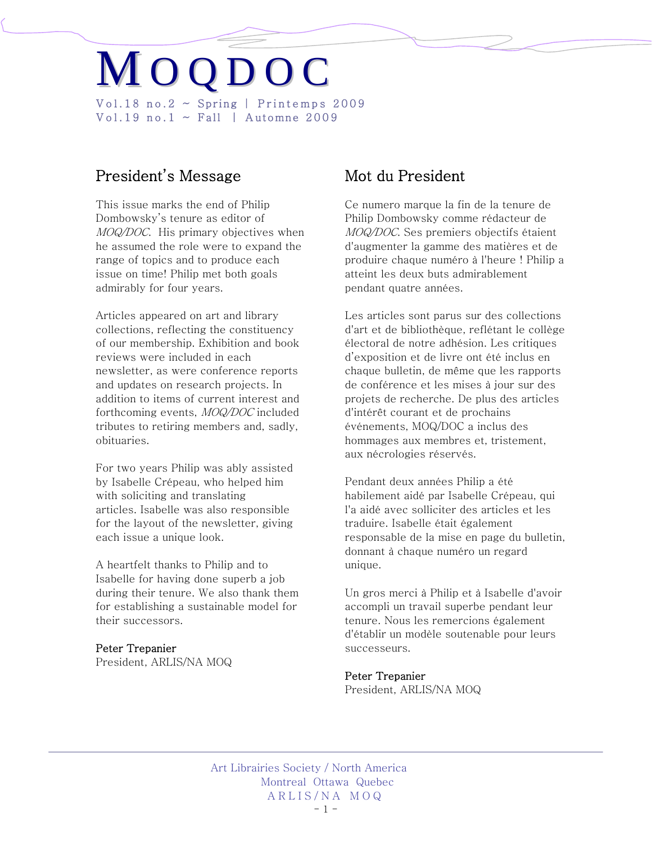# M O Q D O C Vol.18 no.2  $\sim$  Spring | Printemps 2009 Vol.19 no.1  $\sim$  Fall | Automne 2009

# President's Message

This issue marks the end of Philip Dombowsky's tenure as editor of MOQ/DOC. His primary objectives when he assumed the role were to expand the range of topics and to produce each issue on time! Philip met both goals admirably for four years.

Articles appeared on art and library collections, reflecting the constituency of our membership. Exhibition and book reviews were included in each newsletter, as were conference reports and updates on research projects. In addition to items of current interest and forthcoming events, MOQ/DOC included tributes to retiring members and, sadly, obituaries.

For two years Philip was ably assisted by Isabelle Crépeau, who helped him with soliciting and translating articles. Isabelle was also responsible for the layout of the newsletter, giving each issue a unique look.

A heartfelt thanks to Philip and to Isabelle for having done superb a job during their tenure. We also thank them for establishing a sustainable model for their successors.

## Peter Trepanier

President, ARLIS/NA MOQ

# Mot du President

Ce numero marque la fin de la tenure de Philip Dombowsky comme rédacteur de MOQ/DOC. Ses premiers objectifs étaient d'augmenter la gamme des matières et de produire chaque numéro à l'heure ! Philip a atteint les deux buts admirablement pendant quatre années.

Les articles sont parus sur des collections d'art et de bibliothèque, reflétant le collège électoral de notre adhésion. Les critiques d'exposition et de livre ont été inclus en chaque bulletin, de même que les rapports de conférence et les mises à jour sur des projets de recherche. De plus des articles d'intérêt courant et de prochains événements, MOQ/DOC a inclus des hommages aux membres et, tristement, aux nécrologies réservés.

Pendant deux années Philip a été habilement aidé par Isabelle Crépeau, qui l'a aidé avec solliciter des articles et les traduire. Isabelle était également responsable de la mise en page du bulletin, donnant à chaque numéro un regard unique.

Un gros merci à Philip et à Isabelle d'avoir accompli un travail superbe pendant leur tenure. Nous les remercions également d'établir un modèle soutenable pour leurs successeurs.

## Peter Trepanier

President, ARLIS/NA MOQ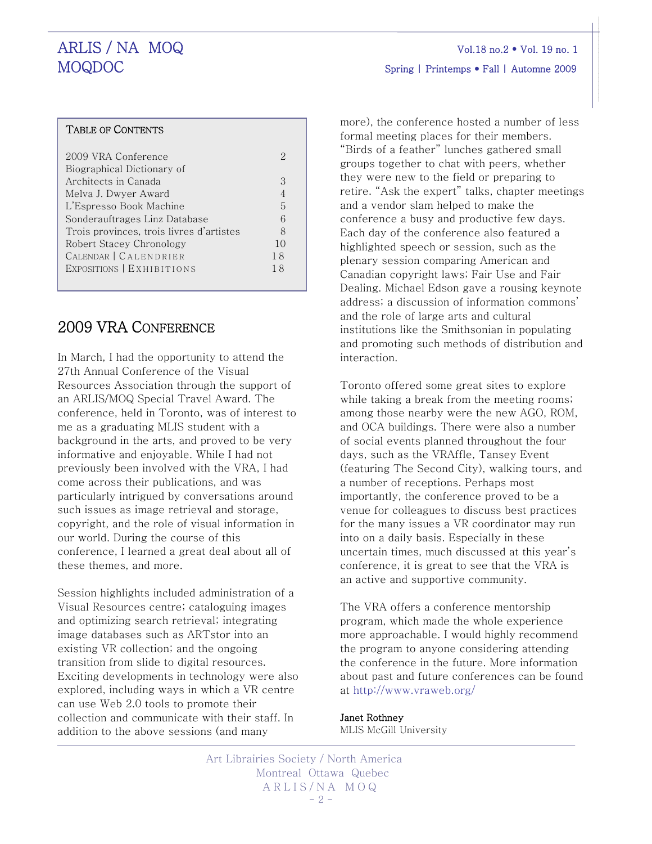# TABLE OF CONTENTS

Γ

| 2009 VRA Conference                      |                |
|------------------------------------------|----------------|
| Biographical Dictionary of               |                |
| Architects in Canada                     | 3              |
| Melva J. Dwyer Award                     |                |
| L'Espresso Book Machine                  | 5              |
| Sonderauftrages Linz Database            | 6              |
| Trois provinces, trois livres d'artistes | 8              |
| Robert Stacey Chronology                 | 1 <sub>0</sub> |
| CALENDAR   CALENDRIER                    | 18             |
| EXPOSITIONS   EXHIBITIONS                | 18             |
|                                          |                |

# 2009 VRA CONFERENCE

In March, I had the opportunity to attend the 27th Annual Conference of the Visual Resources Association through the support of an ARLIS/MOQ Special Travel Award. The conference, held in Toronto, was of interest to me as a graduating MLIS student with a background in the arts, and proved to be very informative and enjoyable. While I had not previously been involved with the VRA, I had come across their publications, and was particularly intrigued by conversations around such issues as image retrieval and storage, copyright, and the role of visual information in our world. During the course of this conference, I learned a great deal about all of these themes, and more.

Session highlights included administration of a Visual Resources centre; cataloguing images and optimizing search retrieval; integrating image databases such as ARTstor into an existing VR collection; and the ongoing transition from slide to digital resources. Exciting developments in technology were also explored, including ways in which a VR centre can use Web 2.0 tools to promote their collection and communicate with their staff. In addition to the above sessions (and many

more), the conference hosted a number of less formal meeting places for their members. "Birds of a feather" lunches gathered small groups together to chat with peers, whether they were new to the field or preparing to retire. "Ask the expert" talks, chapter meetings and a vendor slam helped to make the conference a busy and productive few days. Each day of the conference also featured a highlighted speech or session, such as the plenary session comparing American and Canadian copyright laws; Fair Use and Fair Dealing. Michael Edson gave a rousing keynote address; a discussion of information commons' and the role of large arts and cultural institutions like the Smithsonian in populating and promoting such methods of distribution and interaction.

Toronto offered some great sites to explore while taking a break from the meeting rooms; among those nearby were the new AGO, ROM, and OCA buildings. There were also a number of social events planned throughout the four days, such as the VRAffle, Tansey Event (featuring The Second City), walking tours, and a number of receptions. Perhaps most importantly, the conference proved to be a venue for colleagues to discuss best practices for the many issues a VR coordinator may run into on a daily basis. Especially in these uncertain times, much discussed at this year's conference, it is great to see that the VRA is an active and supportive community.

The VRA offers a conference mentorship program, which made the whole experience more approachable. I would highly recommend the program to anyone considering attending the conference in the future. More information about past and future conferences can be found at <http://www.vraweb.org/>

# Janet Rothney

MLIS McGill University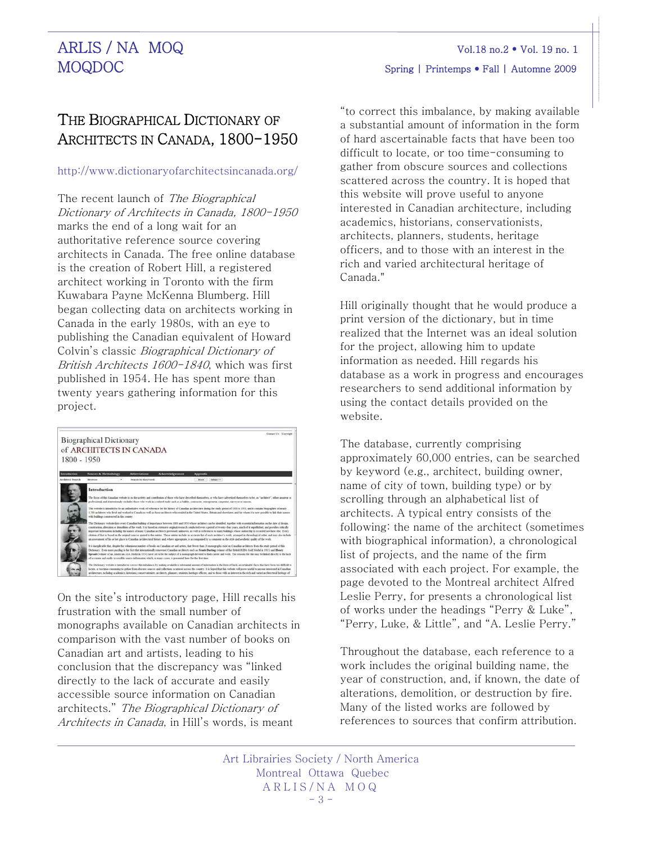# THE BIOGRAPHICAL DICTIONARY OF ARCHITECTS IN CANADA, 1800-1950

# <http://www.dictionaryofarchitectsincanada.org/>

The recent launch of The Biographical Dictionary of Architects in Canada, 1800-1950 marks the end of a long wait for an authoritative reference source covering architects in Canada. The free online database is the creation of Robert Hill, a registered architect working in Toronto with the firm Kuwabara Payne McKenna Blumberg. Hill began collecting data on architects working in Canada in the early 1980s, with an eye to publishing the Canadian equivalent of Howard Colvin's classic Biographical Dictionary of British Architects 1600-1840, which was first published in 1954. He has spent more than twenty years gathering information for this project.

| 1800 - 1950             | <b>Biographical Dictionary</b>              | of ARCHITECTS IN CANADA                                                                                            | Contact Us Conveigla                                                                                                                                                                                                                                                                                                                                                                                                                                                                                                                                                                                                                                                                                                                                                                                                                                                                                                                                                                                                                                                                                                                                                                                                                                                                                                                                                                                                                                                                                     |
|-------------------------|---------------------------------------------|--------------------------------------------------------------------------------------------------------------------|----------------------------------------------------------------------------------------------------------------------------------------------------------------------------------------------------------------------------------------------------------------------------------------------------------------------------------------------------------------------------------------------------------------------------------------------------------------------------------------------------------------------------------------------------------------------------------------------------------------------------------------------------------------------------------------------------------------------------------------------------------------------------------------------------------------------------------------------------------------------------------------------------------------------------------------------------------------------------------------------------------------------------------------------------------------------------------------------------------------------------------------------------------------------------------------------------------------------------------------------------------------------------------------------------------------------------------------------------------------------------------------------------------------------------------------------------------------------------------------------------------|
| <b>Introduction</b>     | Sources & Methodology                       | Ahherriations<br>Acknowledgements                                                                                  | Appendix                                                                                                                                                                                                                                                                                                                                                                                                                                                                                                                                                                                                                                                                                                                                                                                                                                                                                                                                                                                                                                                                                                                                                                                                                                                                                                                                                                                                                                                                                                 |
| <b>Architect Search</b> | Browne: 11<br>٠                             | hearch by Keyword:                                                                                                 | <b>National Inc.</b><br><b>Kover</b>                                                                                                                                                                                                                                                                                                                                                                                                                                                                                                                                                                                                                                                                                                                                                                                                                                                                                                                                                                                                                                                                                                                                                                                                                                                                                                                                                                                                                                                                     |
|                         | with buildings constructed in this country. |                                                                                                                    | professional, and it intentionally excludes those who work in a related trade such as a builder, contractor, entropreneur, carooner, surveyor or manus.<br>This website is intended to be an authoritative work of reference for the history of Cunadan architecture during the study period of 1800 to 1991, and it contains biographies of strucht<br>U700 architects who lived and worked in Canada as well as these architects who resided in the United States. Teltain and showhere, and the whom it is now possible to link their names<br>This Dictionary website lim away Canadias building of importance between 1800 and 1950 whose architect can be identified, together with exceptival information on the show of design,<br>contraction, alteration or demultion of the work. It is based on extensive asideal research conducted over a posial of twenty-four years, much of it sepublished, and provides critically<br>important information including the sames of many Conadian architects previously unknown, as well as references to many buildings whose authorship is recorded nowhere else. Every<br>citation of fact is hared on the original sources quoted in the entries. These entries include an accurate list of each architect's work, arranged in chronological order, and may also include<br>an assessment of his or her place in Canadian architectural history and, where appropriate, is accompanied by a comment on the order and architects mailty of the work. |
|                         |                                             | of accurate and early accessible source information which, in many cases, is presented between for the first time. | It is inexplicable that, despite the voluntame mayber of books on Canadian art and artics, that fewer than 20 monographs exist on Canadian architects from the study period of this<br>Dictionary. Even more purchas is the fact that internationally resovered Canadian architects such an Frank Darling (visuor of the British RIBA Gold Medal is 1913) and Bleacy<br>Spreatt (winner of an American ALA Modal in 1924) have set to be the subject of a monograph devoted to their career and work. The reasons for this may be linked develo to the lack                                                                                                                                                                                                                                                                                                                                                                                                                                                                                                                                                                                                                                                                                                                                                                                                                                                                                                                                              |
|                         |                                             |                                                                                                                    | The Dictionary website is intended to convert fits includence, by multing available a substantial amount of information in the firm of hard, anortainable facts that have been too difficult to<br>locate, or too time-communing to gather from abscure sources and collections scattered across the country. It is loped that this website will prove useful to anyone interested in Canadian<br>architecture, including arademics, historians, conservationists, architects, planners, students, besitage officers, and to those with an interest in the rich and varied architectural besitage of                                                                                                                                                                                                                                                                                                                                                                                                                                                                                                                                                                                                                                                                                                                                                                                                                                                                                                     |

On the site's introductory page, Hill recalls his frustration with the small number of monographs available on Canadian architects in comparison with the vast number of books on Canadian art and artists, leading to his conclusion that the discrepancy was "linked directly to the lack of accurate and easily accessible source information on Canadian architects." The Biographical Dictionary of Architects in Canada, in Hill's words, is meant

"to correct this imbalance, by making available a substantial amount of information in the form of hard ascertainable facts that have been too difficult to locate, or too time-consuming to gather from obscure sources and collections scattered across the country. It is hoped that this website will prove useful to anyone interested in Canadian architecture, including academics, historians, conservationists, architects, planners, students, heritage officers, and to those with an interest in the rich and varied architectural heritage of Canada."

Hill originally thought that he would produce a print version of the dictionary, but in time realized that the Internet was an ideal solution for the project, allowing him to update information as needed. Hill regards his database as a work in progress and encourages researchers to send additional information by using the contact details provided on the website.

The database, currently comprising approximately 60,000 entries, can be searched by keyword (e.g., architect, building owner, name of city of town, building type) or by scrolling through an alphabetical list of architects. A typical entry consists of the following: the name of the architect (sometimes with biographical information), a chronological list of projects, and the name of the firm associated with each project. For example, the page devoted to the Montreal architect Alfred Leslie Perry, for presents a chronological list of works under the headings "Perry & Luke", "Perry, Luke, & Little", and "A. Leslie Perry."

Throughout the database, each reference to a work includes the original building name, the year of construction, and, if known, the date of alterations, demolition, or destruction by fire. Many of the listed works are followed by references to sources that confirm attribution.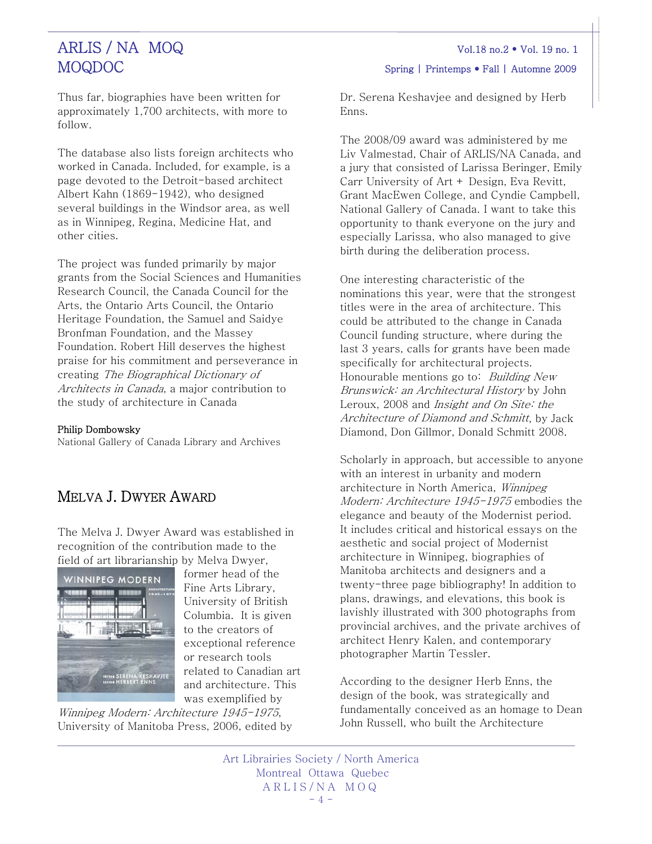Thus far, biographies have been written for approximately 1,700 architects, with more to follow.

The database also lists foreign architects who worked in Canada. Included, for example, is a page devoted to the Detroit-based architect Albert Kahn (1869-1942), who designed several buildings in the Windsor area, as well as in Winnipeg, Regina, Medicine Hat, and other cities.

The project was funded primarily by major grants from the Social Sciences and Humanities Research Council, the Canada Council for the Arts, the Ontario Arts Council, the Ontario Heritage Foundation, the Samuel and Saidye Bronfman Foundation, and the Massey Foundation. Robert Hill deserves the highest praise for his commitment and perseverance in creating The Biographical Dictionary of Architects in Canada, a major contribution to the study of architecture in Canada

### Philip Dombowsky

National Gallery of Canada Library and Archives

# MELVA J. DWYER AWARD

The Melva J. Dwyer Award was established in recognition of the contribution made to the field of art librarianship by Melva Dwyer,



former head of the Fine Arts Library, University of British Columbia. It is given to the creators of exceptional reference or research tools related to Canadian art and architecture. This was exemplified by Winnipeg Modern: Architecture 1945-1975,

University of Manitoba Press, 2006, edited by

Dr. Serena Keshavjee and designed by Herb Enns.

The 2008/09 award was administered by me Liv Valmestad, Chair of ARLIS/NA Canada, and a jury that consisted of Larissa Beringer, Emily Carr University of Art + Design, Eva Revitt, Grant MacEwen College, and Cyndie Campbell, National Gallery of Canada. I want to take this opportunity to thank everyone on the jury and especially Larissa, who also managed to give birth during the deliberation process.

One interesting characteristic of the nominations this year, were that the strongest titles were in the area of architecture. This could be attributed to the change in Canada Council funding structure, where during the last 3 years, calls for grants have been made specifically for architectural projects. Honourable mentions go to: *Building New* Brunswick: an Architectural History by John Leroux, 2008 and Insight and On Site: the Architecture of Diamond and Schmitt, by Jack Diamond, Don Gillmor, Donald Schmitt 2008.

Scholarly in approach, but accessible to anyone with an interest in urbanity and modern architecture in North America, Winnipeg Modern: Architecture 1945-1975 embodies the elegance and beauty of the Modernist period. It includes critical and historical essays on the aesthetic and social project of Modernist architecture in Winnipeg, biographies of Manitoba architects and designers and a twenty-three page bibliography! In addition to plans, drawings, and elevations, this book is lavishly illustrated with 300 photographs from provincial archives, and the private archives of architect Henry Kalen, and contemporary photographer Martin Tessler.

According to the designer Herb Enns, the design of the book, was strategically and fundamentally conceived as an homage to Dean John Russell, who built the Architecture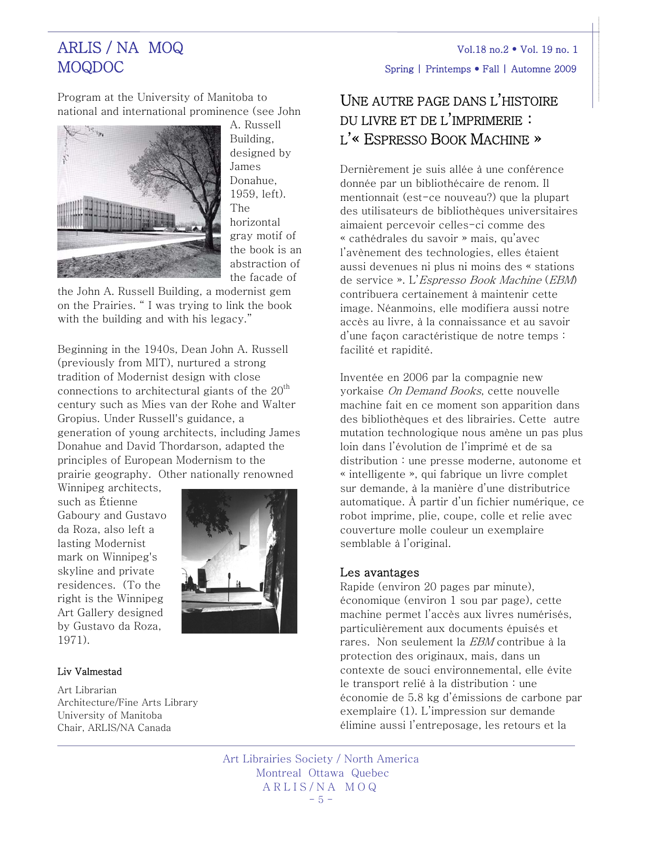Program at the University of Manitoba to national and international prominence (see John



A. Russell Building, designed by James Donahue, 1959, left). The horizontal gray motif of the book is an abstraction of the facade of

the John A. Russell Building, a modernist gem on the Prairies. " I was trying to link the book with the building and with his legacy."

Beginning in the 1940s, Dean John A. Russell (previously from MIT), nurtured a strong tradition of Modernist design with close connections to architectural giants of the  $20<sup>th</sup>$ century such as Mies van der Rohe and Walter Gropius. Under Russell's guidance, a generation of young architects, including James Donahue and David Thordarson, adapted the principles of European Modernism to the prairie geography. Other nationally renowned

Winnipeg architects, such as Étienne Gaboury and Gustavo da Roza, also left a lasting Modernist mark on Winnipeg's skyline and private residences. (To the right is the Winnipeg Art Gallery designed by Gustavo da Roza, 1971).



# Liv Valmestad

Art Librarian Architecture/Fine Arts Library University of Manitoba Chair, ARLIS/NA Canada

# UNE AUTRE PAGE DANS L'HISTOIRE DU LIVRE ET DE L'IMPRIMERIE : L'« ESPRESSO BOOK MACHINE »

Dernièrement je suis allée à une conférence donnée par un bibliothécaire de renom. Il mentionnait (est-ce nouveau?) que la plupart des utilisateurs de bibliothèques universitaires aimaient percevoir celles-ci comme des « cathédrales du savoir » mais, qu'avec l'avènement des technologies, elles étaient aussi devenues ni plus ni moins des « stations de service ». L'Espresso Book Machine (EBM) contribuera certainement à maintenir cette image. Néanmoins, elle modifiera aussi notre accès au livre, à la connaissance et au savoir d'une façon caractéristique de notre temps : facilité et rapidité.

Inventée en 2006 par la compagnie new yorkaise On Demand Books, cette nouvelle machine fait en ce moment son apparition dans des bibliothèques et des librairies. Cette autre mutation technologique nous amène un pas plus loin dans l'évolution de l'imprimé et de sa distribution : une presse moderne, autonome et « intelligente », qui fabrique un livre complet sur demande, à la manière d'une distributrice automatique. À partir d'un fichier numérique, ce robot imprime, plie, coupe, colle et relie avec couverture molle couleur un exemplaire semblable à l'original.

# Les avantages

Rapide (environ 20 pages par minute), économique (environ 1 sou par page), cette machine permet l'accès aux livres numérisés, particulièrement aux documents épuisés et rares. Non seulement la EBM contribue à la protection des originaux, mais, dans un contexte de souci environnemental, elle évite le transport relié à la distribution : une économie de 5.8 kg d'émissions de carbone par exemplaire (1). L'impression sur demande élimine aussi l'entreposage, les retours et la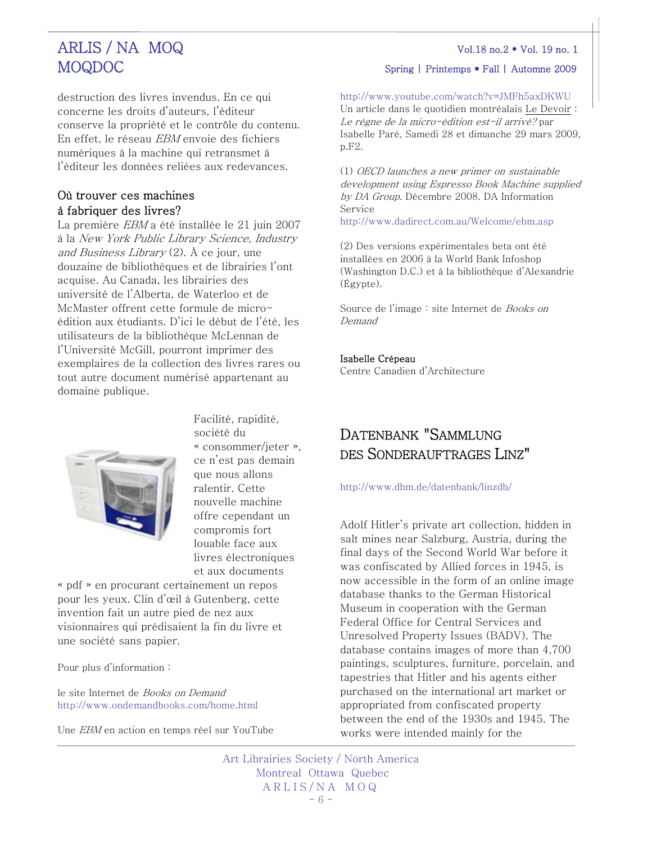destruction des livres invendus. En ce qui concerne les droits d'auteurs, l'éditeur conserve la propriété et le contrôle du contenu. En effet, le réseau EBM envoie des fichiers numériques à la machine qui retransmet à l'éditeur les données reliées aux redevances.

# Où trouver ces machines à fabriquer des livres?

La première *EBM* a été installée le 21 juin 2007 à la New York Public Library Science, Industry and Business Library  $(2)$ .  $\Lambda$  ce jour, une douzaine de bibliothèques et de librairies l'ont acquise. Au Canada, les librairies des université de l'Alberta, de Waterloo et de McMaster offrent cette formule de microédition aux étudiants. D'ici le début de l'été, les utilisateurs de la bibliothèque McLennan de l'Université McGill, pourront imprimer des exemplaires de la collection des livres rares ou tout autre document numérisé appartenant au domaine publique.



Facilité, rapidité, société du « consommer/jeter », ce n'est pas demain que nous allons ralentir. Cette nouvelle machine offre cependant un compromis fort louable face aux livres électroniques et aux documents

« pdf » en procurant certainement un repos pour les yeux. Clin d'œil à Gutenberg, cette invention fait un autre pied de nez aux visionnaires qui prédisaient la fin du livre et une société sans papier.

Pour plus d'information :

le site Internet de Books on Demand <http://www.ondemandbooks.com/home.html>

Une EBM en action en temps réel sur YouTube

# MOQDOC Spring | Printemps • Fall | Automne 2009

<http://www.youtube.com/watch?v=JMFh5axDKWU>

Un article dans le quotidien montréalais Le Devoir : Le règne de la micro-édition est-il arrivé? par Isabelle Paré, Samedi 28 et dimanche 29 mars 2009, p.F2.

(1) OECD launches a new primer on sustainable development using Espresso Book Machine supplied by DA Group. Décembre 2008. DA Information Service <http://www.dadirect.com.au/Welcome/ebm.asp>

(2) Des versions expérimentales beta ont été installées en 2006 à la World Bank Infoshop (Washington D.C.) et à la bibliothèque d'Alexandrie (Égypte).

Source de l'image : site Internet de *Books on* Demand

#### Isabelle Crépeau

Centre Canadien d'Architecture

# DATENBANK "SAMMLUNG DES SONDERAUFTRAGES LINZ"

<http://www.dhm.de/datenbank/linzdb/>

Adolf Hitler's private art collection, hidden in salt mines near Salzburg, Austria, during the final days of the Second World War before it was confiscated by Allied forces in 1945, is now accessible in the form of an online image database thanks to the German Historical Museum in cooperation with the German Federal Office for Central Services and Unresolved Property Issues (BADV). The database contains images of more than 4,700 paintings, sculptures, furniture, porcelain, and tapestries that Hitler and his agents either purchased on the international art market or appropriated from confiscated property between the end of the 1930s and 1945. The works were intended mainly for the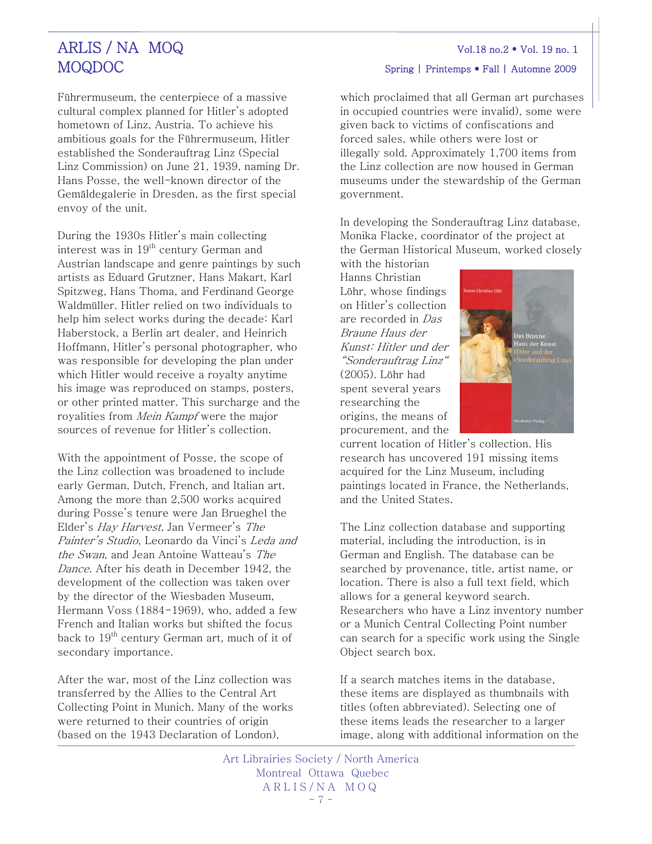Führermuseum, the centerpiece of a massive cultural complex planned for Hitler's adopted hometown of Linz, Austria. To achieve his ambitious goals for the Führermuseum, Hitler established the Sonderauftrag Linz (Special Linz Commission) on June 21, 1939, naming Dr. Hans Posse, the well-known director of the Gemäldegalerie in Dresden, as the first special envoy of the unit.

During the 1930s Hitler's main collecting interest was in  $19<sup>th</sup>$  century German and Austrian landscape and genre paintings by such artists as Eduard Grutzner, Hans Makart, Karl Spitzweg, Hans Thoma, and Ferdinand George Waldmüller. Hitler relied on two individuals to help him select works during the decade: Karl Haberstock, a Berlin art dealer, and Heinrich Hoffmann, Hitler's personal photographer, who was responsible for developing the plan under which Hitler would receive a royalty anytime his image was reproduced on stamps, posters, or other printed matter. This surcharge and the royalities from *Mein Kampf* were the major sources of revenue for Hitler's collection.

With the appointment of Posse, the scope of the Linz collection was broadened to include early German, Dutch, French, and Italian art. Among the more than 2,500 works acquired during Posse's tenure were Jan Brueghel the Elder's Hay Harvest, Jan Vermeer's The Painter's Studio, Leonardo da Vinci's Leda and the Swan, and Jean Antoine Watteau's The Dance. After his death in December 1942, the development of the collection was taken over by the director of the Wiesbaden Museum, Hermann Voss (1884-1969), who, added a few French and Italian works but shifted the focus back to  $19<sup>th</sup>$  century German art, much of it of secondary importance.

After the war, most of the Linz collection was transferred by the Allies to the Central Art Collecting Point in Munich. Many of the works were returned to their countries of origin (based on the 1943 Declaration of London),

which proclaimed that all German art purchases in occupied countries were invalid), some were given back to victims of confiscations and forced sales, while others were lost or illegally sold. Approximately 1,700 items from

the Linz collection are now housed in German museums under the stewardship of the German government.

In developing the Sonderauftrag Linz database, Monika Flacke, coordinator of the project at the German Historical Museum, worked closely

with the historian Hanns Christian Löhr, whose findings on Hitler's collection are recorded in Das Braune Haus der Kunst: Hitler und der "Sonderauftrag Linz" (2005). Löhr had spent several years researching the origins, the means of procurement, and the



current location of Hitler's collection. His research has uncovered 191 missing items acquired for the Linz Museum, including paintings located in France, the Netherlands, and the United States.

The Linz collection database and supporting material, including the introduction, is in German and English. The database can be searched by provenance, title, artist name, or location. There is also a full text field, which allows for a general keyword search. Researchers who have a Linz inventory number or a Munich Central Collecting Point number can search for a specific work using the Single Object search box.

If a search matches items in the database, these items are displayed as thumbnails with titles (often abbreviated). Selecting one of these items leads the researcher to a larger image, along with additional information on the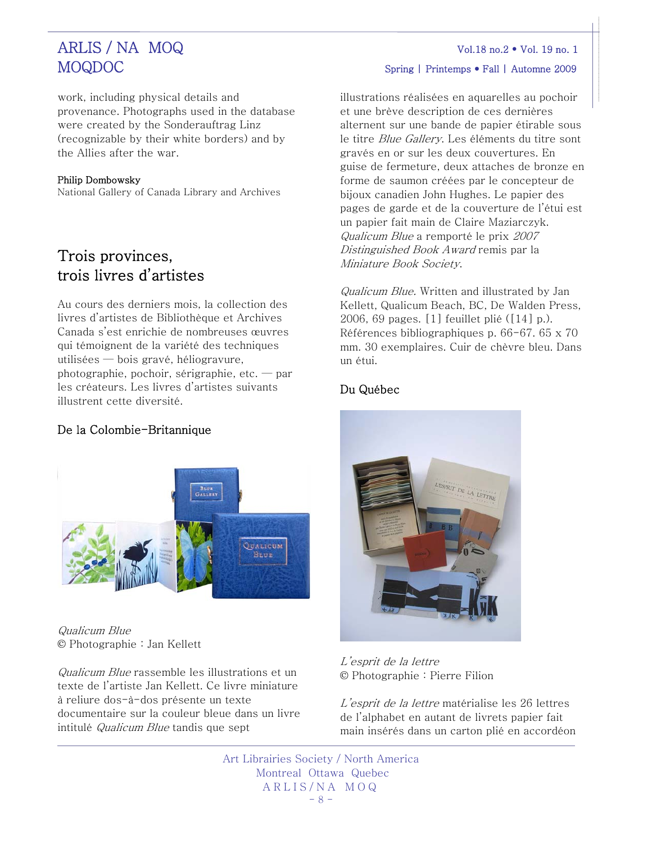work, including physical details and provenance. Photographs used in the database were created by the Sonderauftrag Linz (recognizable by their white borders) and by the Allies after the war.

## Philip Dombowsky

National Gallery of Canada Library and Archives

# Trois provinces, trois livres d'artistes

Au cours des derniers mois, la collection des livres d'artistes de Bibliothèque et Archives Canada s'est enrichie de nombreuses œuvres qui témoignent de la variété des techniques utilisées — bois gravé, héliogravure, photographie, pochoir, sérigraphie, etc. — par les créateurs. Les livres d'artistes suivants illustrent cette diversité.

# De la Colombie-Britannique



Qualicum Blue © Photographie : Jan Kellett

Qualicum Blue rassemble les illustrations et un texte de l'artiste Jan Kellett. Ce livre miniature à reliure dos-à-dos présente un texte documentaire sur la couleur bleue dans un livre intitulé Qualicum Blue tandis que sept

# MOQDOC Spring | Printemps • Fall | Automne 2009

illustrations réalisées en aquarelles au pochoir et une brève description de ces dernières alternent sur une bande de papier étirable sous le titre Blue Gallery. Les éléments du titre sont gravés en or sur les deux couvertures. En guise de fermeture, deux attaches de bronze en forme de saumon créées par le concepteur de bijoux canadien John Hughes. Le papier des pages de garde et de la couverture de l'étui est un papier fait main de Claire Maziarczyk. Qualicum Blue a remporté le prix 2007 Distinguished Book Award remis par la Miniature Book Society.

Qualicum Blue. Written and illustrated by Jan Kellett, Qualicum Beach, BC, De Walden Press, 2006, 69 pages. [1] feuillet plié ([14] p.). Références bibliographiques p. 66-67. 65 x 70 mm. 30 exemplaires. Cuir de chèvre bleu. Dans un étui.

# Du Québec



L'esprit de la lettre © Photographie : Pierre Filion

L'esprit de la lettre matérialise les 26 lettres de l'alphabet en autant de livrets papier fait main insérés dans un carton plié en accordéon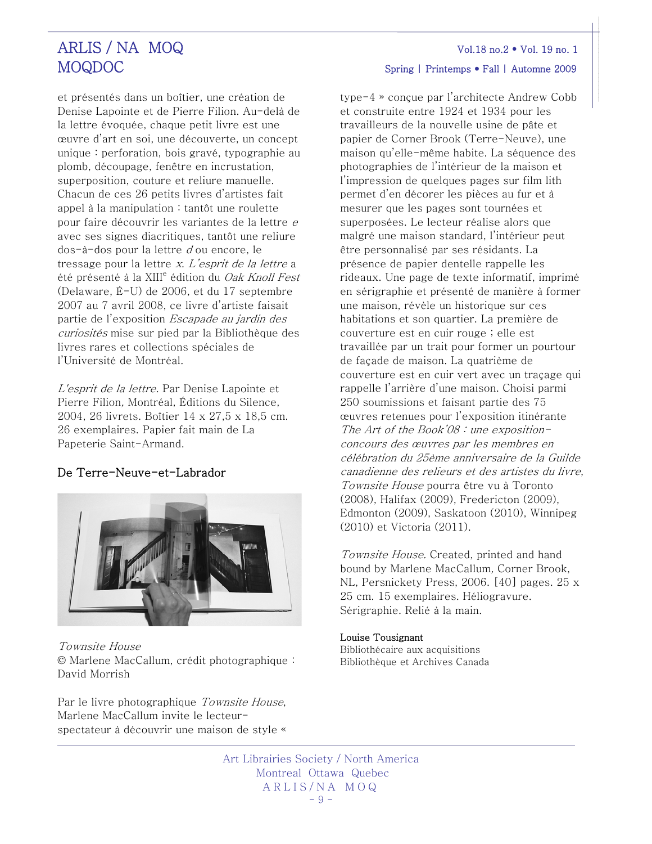et présentés dans un boîtier, une création de Denise Lapointe et de Pierre Filion. Au-delà de la lettre évoquée, chaque petit livre est une œuvre d'art en soi, une découverte, un concept unique : perforation, bois gravé, typographie au plomb, découpage, fenêtre en incrustation, superposition, couture et reliure manuelle. Chacun de ces 26 petits livres d'artistes fait appel à la manipulation : tantôt une roulette pour faire découvrir les variantes de la lettre <sup>e</sup> avec ses signes diacritiques, tantôt une reliure dos-à-dos pour la lettre d ou encore, le tressage pour la lettre x. L'esprit de la lettre a été présenté à la XIII<sup>e</sup> édition du *Oak Knoll Fest* (Delaware, É-U) de 2006, et du 17 septembre 2007 au 7 avril 2008, ce livre d'artiste faisait partie de l'exposition Escapade au jardin des curiosités mise sur pied par la Bibliothèque des livres rares et collections spéciales de l'Université de Montréal.

L'esprit de la lettre. Par Denise Lapointe et Pierre Filion, Montréal, Éditions du Silence, 2004, 26 livrets. Boîtier 14 x 27,5 x 18,5 cm. 26 exemplaires. Papier fait main de La Papeterie Saint-Armand.

# De Terre-Neuve-et-Labrador



Townsite House © Marlene MacCallum, crédit photographique : David Morrish

Par le livre photographique Townsite House, Marlene MacCallum invite le lecteurspectateur à découvrir une maison de style «

type-4 » conçue par l'architecte Andrew Cobb et construite entre 1924 et 1934 pour les travailleurs de la nouvelle usine de pâte et papier de Corner Brook (Terre-Neuve), une maison qu'elle-même habite. La séquence des photographies de l'intérieur de la maison et l'impression de quelques pages sur film lith permet d'en décorer les pièces au fur et à mesurer que les pages sont tournées et superposées. Le lecteur réalise alors que malgré une maison standard, l'intérieur peut être personnalisé par ses résidants. La présence de papier dentelle rappelle les rideaux. Une page de texte informatif, imprimé en sérigraphie et présenté de manière à former une maison, révèle un historique sur ces habitations et son quartier. La première de couverture est en cuir rouge ; elle est travaillée par un trait pour former un pourtour de façade de maison. La quatrième de couverture est en cuir vert avec un traçage qui rappelle l'arrière d'une maison. Choisi parmi 250 soumissions et faisant partie des 75 œuvres retenues pour l'exposition itinérante The Art of the Book'08 : une expositionconcours des œuvres par les membres en célébration du 25ème anniversaire de la Guilde canadienne des relieurs et des artistes du livre, Townsite House pourra être vu à Toronto (2008), Halifax (2009), Fredericton (2009), Edmonton (2009), Saskatoon (2010), Winnipeg (2010) et Victoria (2011).

Townsite House. Created, printed and hand bound by Marlene MacCallum, Corner Brook, NL, Persnickety Press, 2006. [40] pages. 25 x 25 cm. 15 exemplaires. Héliogravure. Sérigraphie. Relié à la main.

#### Louise Tousignant

Bibliothécaire aux acquisitions Bibliothèque et Archives Canada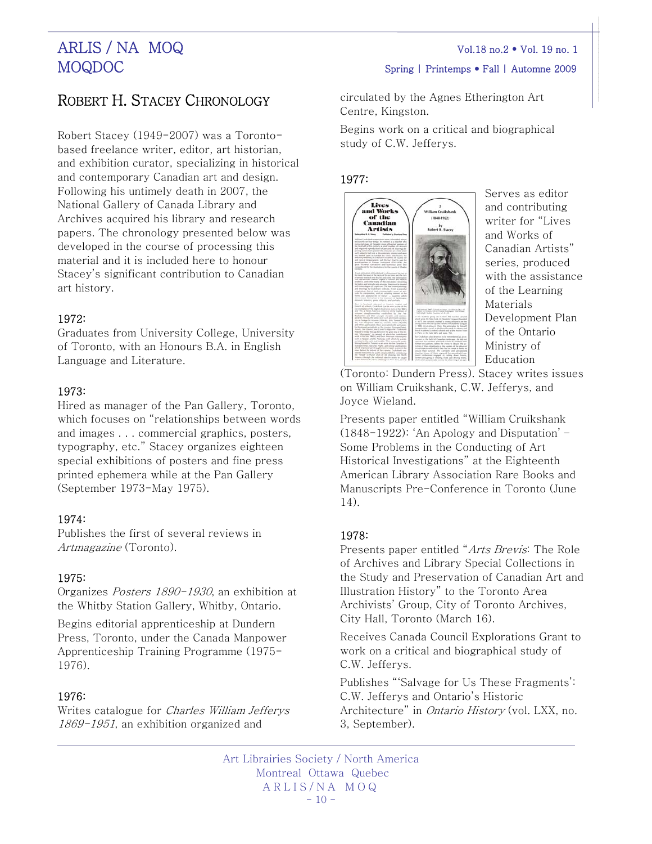# ROBERT H. STACEY CHRONOLOGY

Robert Stacey (1949-2007) was a Torontobased freelance writer, editor, art historian, and exhibition curator, specializing in historical and contemporary Canadian art and design. Following his untimely death in 2007, the National Gallery of Canada Library and Archives acquired his library and research papers. The chronology presented below was developed in the course of processing this material and it is included here to honour Stacey's significant contribution to Canadian art history.

## 1972:

Graduates from University College, University of Toronto, with an Honours B.A. in English Language and Literature.

## 1973:

Hired as manager of the Pan Gallery, Toronto, which focuses on "relationships between words and images . . . commercial graphics, posters, typography, etc." Stacey organizes eighteen special exhibitions of posters and fine press printed ephemera while at the Pan Gallery (September 1973-May 1975).

## 1974:

Publishes the first of several reviews in Artmagazine (Toronto).

## 1975:

Organizes Posters 1890-1930, an exhibition at the Whitby Station Gallery, Whitby, Ontario.

Begins editorial apprenticeship at Dundern Press, Toronto, under the Canada Manpower Apprenticeship Training Programme (1975- 1976).

## 1976:

Writes catalogue for Charles William Jefferys 1869-1951, an exhibition organized and

# MOQDOC Spring | Printemps • Fall | Automne 2009

circulated by the Agnes Etherington Art Centre, Kingston.

Begins work on a critical and biographical study of C.W. Jefferys.

### 1977:



Serves as editor and contributing writer for "Lives and Works of Canadian Artists" series, produced with the assistance of the Learning Materials Development Plan of the Ontario Ministry of Education

on William Cruikshank, C.W. Jefferys, an d Joyce Wieland. (Toronto: Dundern Press). Stacey writes issues

Presents paper entitled "William Cruikshank (1848-1922): 'An Apology and Disputation' – Some Problems in the Conducting of Art Historical Investigations" at the Eighteenth American Library Association Rare Books and Manuscripts Pre-Conference in Toronto (June 14).

## 1978:

Presents paper entitled "Arts Brevis: The Role of Archives and Library Special Collections in the Study and Preservation of Canadian Art and Illustration History" to the Toronto Area Archivists' Group, City of Toronto Archives, City Hall, Toronto (March 16).

Receives Canada Council Explorations Grant to work on a critical and biographical study of C.W. Jefferys.

Publishes "'Salvage for Us These Fragments': C.W. Jefferys and Ontario's Historic Architecture" in Ontario History (vol. LXX, no. 3, September).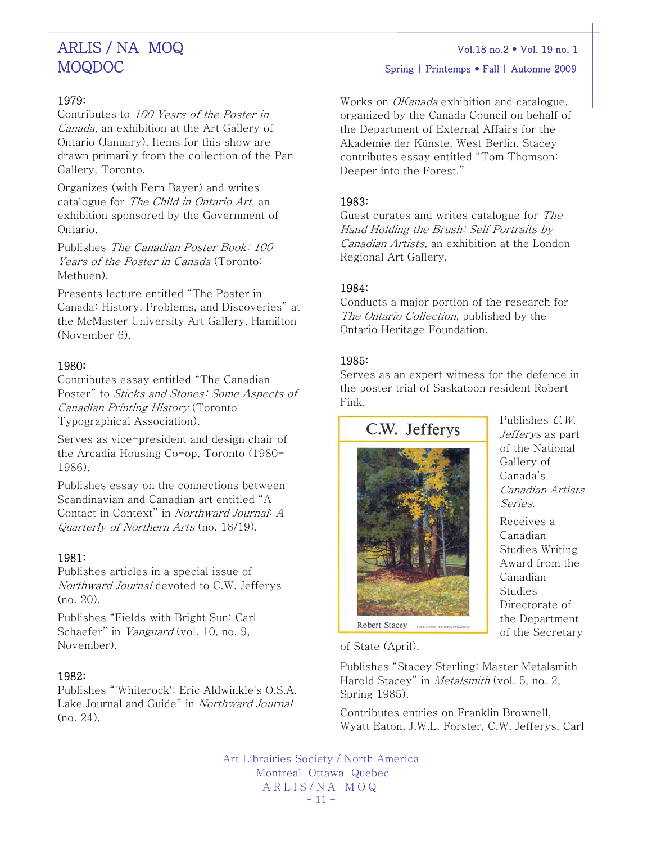# 1979:

Contributes to 100 Years of the Poster in Canada, an exhibition at the Art Gallery of Ontario (January). Items for this show are drawn primarily from the collection of the Pan Gallery, Toronto.

Organizes (with Fern Bayer) and writes catalogue for The Child in Ontario Art, an exhibition sponsored by the Government of Ontario.

Publishes The Canadian Poster Book: 100 Years of the Poster in Canada (Toronto: Methuen).

Presents lecture entitled "The Poster in Canada: History, Problems, and Discoveries" at the McMaster University Art Gallery, Hamilton (November 6).

# 1980:

Contributes essay entitled "The Canadian Poster" to Sticks and Stones: Some Aspects of Canadian Printing History (Toronto Typographical Association).

Serves as vice-president and design chair of the Arcadia Housing Co-op, Toronto (1980- 1986).

Publishes essay on the connections between Scandinavian and Canadian art entitled "A Contact in Context" in Northward Journal: A Quarterly of Northern Arts (no. 18/19).

## 1981:

Publishes articles in a special issue of Northward Journal devoted to C.W. Jefferys (no. 20).

Publishes "Fields with Bright Sun: Carl Schaefer" in *Vanguard* (vol. 10, no. 9, November).

## 1982:

Publishes "'Whiterock': Eric Aldwinkle's O.S.A. Lake Journal and Guide" in Northward Journal (no. 24).

MOQDOC Spring | Printemps • Fall | Automne 2009

Works on *OKanada* exhibition and catalogue. organized by the Canada Council on behalf of the Department of External Affairs for the Akademie der Künste, West Berlin. Stacey contributes essay entitled "Tom Thomson: Deeper into the Forest."

## 1983:

Guest curates and writes catalogue for The Hand Holding the Brush: Self Portraits by Canadian Artists, an exhibition at the London Regional Art Gallery.

## 1984:

Conducts a major portion of the research for The Ontario Collection, published by the Ontario Heritage Foundation.

## 1985:

Serves as an expert witness for the defence in the poster trial of Saskatoon resident Robert Fink.

C.W. Jefferys



Publishes C.W. Jefferys as part of the National Gallery of Canada's Canadian Artists Series.

Receives a Canadian Studies Writing Award from the Canadian Studies Directorate of the Department of the Secretary

of State (April).

Publishes "Stacey Sterling: Master Metalsmith Harold Stacey" in Metalsmith (vol. 5, no. 2, Spring 1985).

Contributes entries on Franklin Brownell, Wyatt Eaton, J.W.L. Forster, C.W. Jefferys, Carl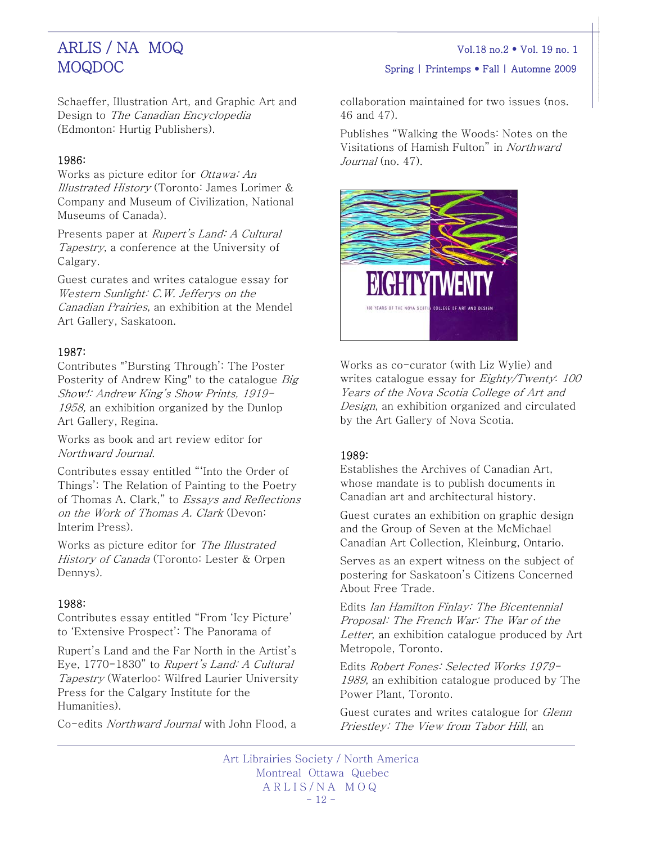MOQDOC Spring | Printemps • Fall | Automne 2009

Schaeffer, Illustration Art, and Graphic Art and Design to The Canadian Encyclopedia (Edmonton: Hurtig Publishers).

# 1986:

Works as picture editor for Ottawa: An Illustrated History (Toronto: James Lorimer & Company and Museum of Civilization, National Museums of Canada).

Presents paper at Rupert's Land: A Cultural Tapestry, a conference at the University of Calgary.

Guest curates and writes catalogue essay for Western Sunlight: C.W. Jefferys on the Canadian Prairies, an exhibition at the Mendel Art Gallery, Saskatoon.

# 1987:

Contributes "'Bursting Through': The Poster Posterity of Andrew King" to the catalogue Big Show!: Andrew King's Show Prints, 1919- 1958, an exhibition organized by the Dunlop Art Gallery, Regina.

Works as book and art review editor for Northward Journal.

Contributes essay entitled "'Into the Order of Things': The Relation of Painting to the Poetry of Thomas A. Clark," to Essays and Reflections on the Work of Thomas A. Clark (Devon: Interim Press).

Works as picture editor for The Illustrated History of Canada (Toronto: Lester & Orpen Dennys).

# 1988:

Contributes essay entitled "From 'Icy Picture' to 'Extensive Prospect': The Panorama of

Rupert's Land and the Far North in the Artist's Eye, 1770-1830" to Rupert's Land: A Cultural Tapestry (Waterloo: Wilfred Laurier University Press for the Calgary Institute for the Humanities).

Co-edits Northward Journal with John Flood, a

collaboration maintained for two issues (nos. 46 and 47).

Publishes "Walking the Woods: Notes on the Visitations of Hamish Fulton" in Northward  $Journal$  (no. 47).



Works as co-curator (with Liz Wylie) and writes catalogue essay for *Eighty/Twenty*: 100 Years of the Nova Scotia College of Art and Design, an exhibition organized and circulated by the Art Gallery of Nova Scotia.

# 1989:

Establishes the Archives of Canadian Art, whose mandate is to publish documents in Canadian art and architectural history.

Guest curates an exhibition on graphic design and the Group of Seven at the McMichael Canadian Art Collection, Kleinburg, Ontario.

Serves as an expert witness on the subject of postering for Saskatoon's Citizens Concerned About Free Trade.

Edits Ian Hamilton Finlay: The Bicentennial Proposal: The French War: The War of the Letter, an exhibition catalogue produced by Art Metropole, Toronto.

Edits Robert Fones: Selected Works 1979- 1989, an exhibition catalogue produced by The Power Plant, Toronto.

Guest curates and writes catalogue for *Glenn* Priestley: The View from Tabor Hill, an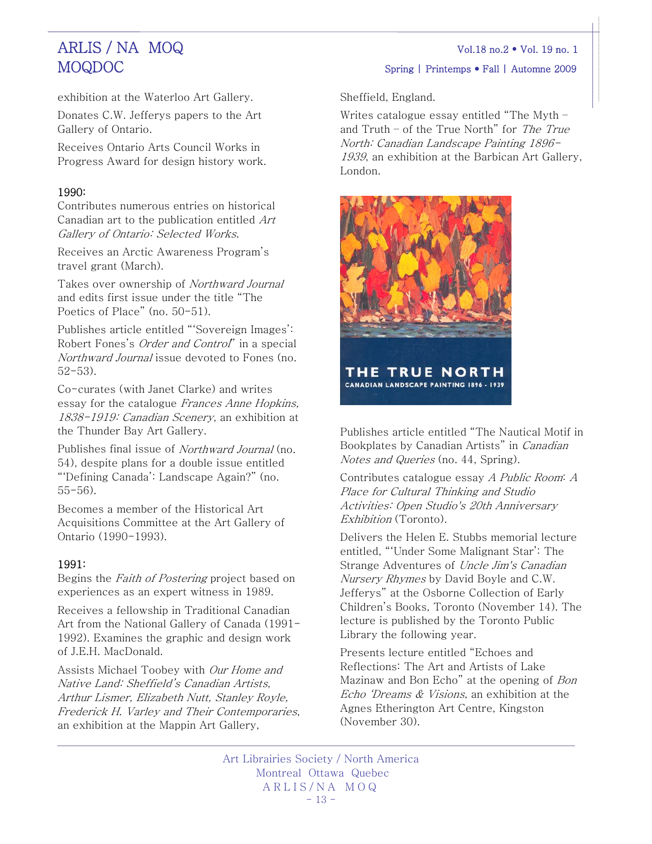MOQDOC Spring | Printemps • Fall | Automne 2009

exhibition at the Waterloo Art Gallery.

Donates C.W. Jefferys papers to the Art Gallery of Ontario.

Receives Ontario Arts Council Works in Progress Award for design history work.

# 1990:

Contributes numerous entries on historical Canadian art to the publication entitled Art Gallery of Ontario: Selected Works.

Receives an Arctic Awareness Program's travel grant (March).

Takes over ownership of Northward Journal and edits first issue under the title "The Poetics of Place" (no. 50-51).

Publishes article entitled "'Sovereign Images': Robert Fones's Order and Control" in a special Northward Journal issue devoted to Fones (no. 52-53).

Co-curates (with Janet Clarke) and writes essay for the catalogue Frances Anne Hopkins, 1838-1919: Canadian Scenery, an exhibition at the Thunder Bay Art Gallery.

Publishes final issue of Northward Journal (no. 54), despite plans for a double issue entitled "'Defining Canada': Landscape Again?" (no. 55-56).

Becomes a member of the Historical Art Acquisitions Committee at the Art Gallery of Ontario (1990-1993).

# 1991:

Begins the Faith of Postering project based on experiences as an expert witness in 1989.

Receives a fellowship in Traditional Canadian Art from the National Gallery of Canada (1991- 1992). Examines the graphic and design work of J.E.H. MacDonald.

Assists Michael Toobey with Our Home and Native Land: Sheffield's Canadian Artists, Arthur Lismer, Elizabeth Nutt, Stanley Royle, Frederick H. Varley and Their Contemporaries, an exhibition at the Mappin Art Gallery,

Sheffield, England.

Writes catalogue essay entitled "The Myth – and Truth – of the True North" for The True North: Canadian Landscape Painting 1896- 1939, an exhibition at the Barbican Art Gallery, London.



Publishes article entitled "The Nautical Motif in Bookplates by Canadian Artists" in Canadian Notes and Queries (no. 44, Spring).

Contributes catalogue essay A Public Room: A Place for Cultural Thinking and Studio Activities: Open Studio's 20th Anniversary Exhibition (Toronto).

Delivers the Helen E. Stubbs memorial lecture entitled, "'Under Some Malignant Star': The Strange Adventures of Uncle Jim's Canadian Nursery Rhymes by David Boyle and C.W. Jefferys" at the Osborne Collection of Early Children's Books, Toronto (November 14). The lecture is published by the Toronto Public Library the following year.

Presents lecture entitled "Echoes and Reflections: The Art and Artists of Lake Mazinaw and Bon Echo" at the opening of Bon Echo 'Dreams & Visions, an exhibition at the Agnes Etherington Art Centre, Kingston (November 30).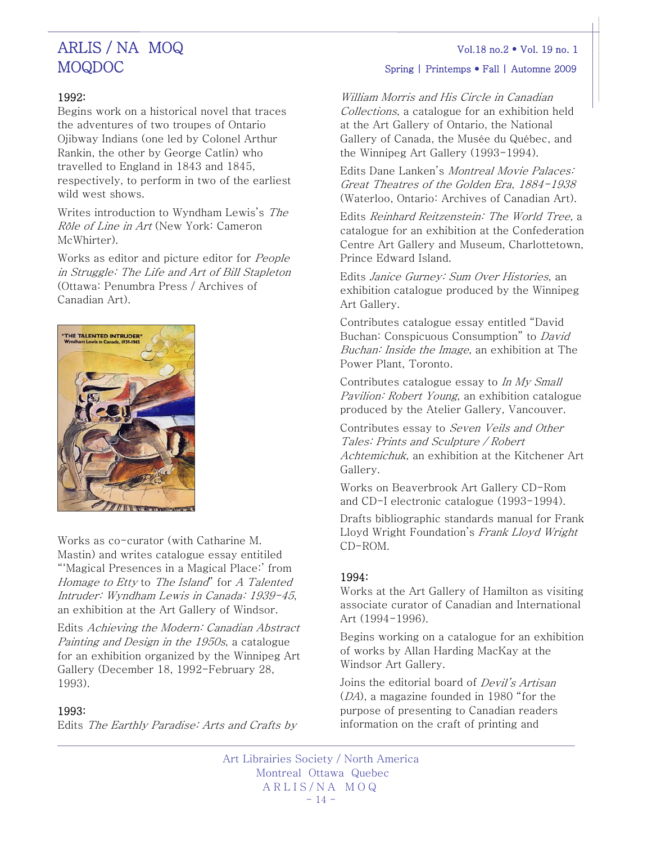# MOQDOC Spring | Printemps • Fall | Automne 2009

### 1992:

Begins work on a historical novel that traces the adventures of two troupes of Ontario Ojibway Indians (one led by Colonel Arthur Rankin, the other by George Catlin) who travelled to England in 1843 and 1845, respectively, to perform in two of the earliest wild west shows.

Writes introduction to Wyndham Lewis's The Rôle of Line in Art (New York: Cameron McWhirter).

Works as editor and picture editor for People in Struggle: The Life and Art of Bill Stapleton (Ottawa: Penumbra Press / Archives of Canadian Art).



Works as co-curator (with Catharine M. Mastin) and writes catalogue essay entitiled "'Magical Presences in a Magical Place:' from Homage to Etty to The Island" for A Talented Intruder: Wyndham Lewis in Canada: 1939-45, an exhibition at the Art Gallery of Windsor.

Edits Achieving the Modern: Canadian Abstract Painting and Design in the 1950s, a catalogue for an exhibition organized by the Winnipeg Art Gallery (December 18, 1992-February 28, 1993).

### 1993:

Edits The Earthly Paradise: Arts and Crafts by

William Morris and His Circle in Canadian Collections, a catalogue for an exhibition h eld at the Art Gallery of Ontario, the National Gallery of Canada, the Musée du Québec , and the Winnipeg Art Gallery (1993-1994).

Edits Dane Lanken's Montreal Movie Palaces: Great Theatres of the Golden Era, 1884-1938 (Waterloo, Ontario: Archives of Canadian Art).

Centre Art Gallery and Museum, Charlottetown, Edits Reinhard Reitzenstein: The World Tree, a catalogue for an exhibition at the Confederation Prince Edward Island.

exhibition catalogue produced by the Winnipeg Edits Janice Gurney: Sum Over Histories, an Art Gallery.

Buchan: Inside the Image, an exhibition at The Contributes catalogue essay entitled "David Buchan: Conspicuous Consumption" to David Power Plant, Toronto.

Pavilion: Robert Young, an exhibition catalogue Contributes catalogue essay to In My Small produced by the Atelier Gallery, Vancouver.

Contributes essay to Seven Veils and Other Achtemichuk, an exhibition at the Kitchener Art Tales: Prints and Sculpture / Robert Gallery.

Works on Beaverbrook Art Gallery CD-Rom and CD-I electronic catalogue (1993-1994).

Lloyd Wright Foundation's Frank Lloyd Wright CD-ROM. Drafts bibliographic standards manual for Frank

### 1994:

associate curator of Canadian and International Works at the Art Gallery of Hamilton as visiting Art (1994-1996).

Begins working on a catalogue for an exhibition of works by Allan Harding MacKay at the Windsor Art Gallery.

purpose of presenting to Canadian readers information on the craft of printing and Joins the editorial board of *Devil's Artisan* (DA), a magazine founded in 1980 "for the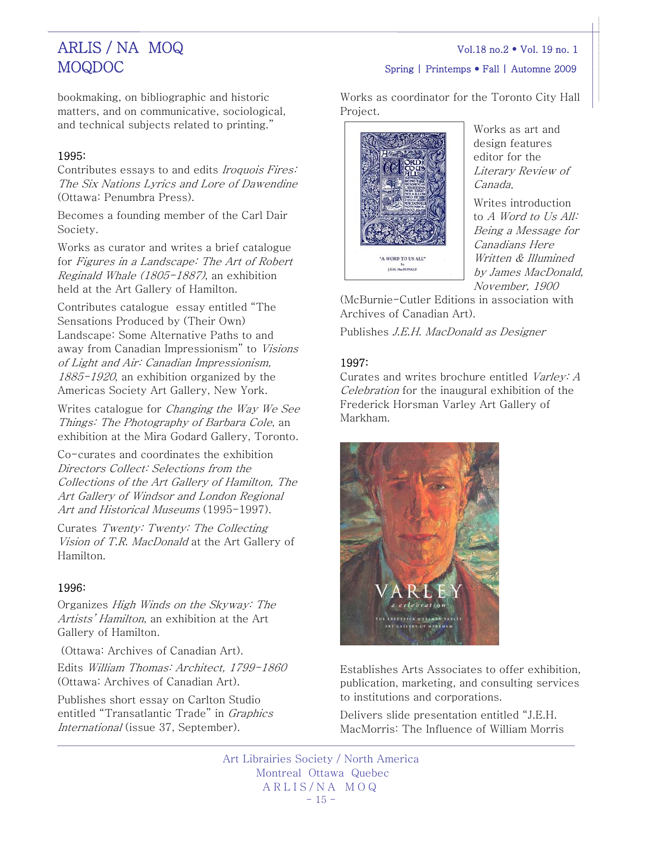# MOQDOC Spring | Printemps • Fall | Automne 2009

bookmaking, on bibliographic and historic matters, and on communicative, sociological, and technical subjects related to printing."

# 1995:

Contributes essays to and edits Iroquois Fires: The Six Nations Lyrics and Lore of Dawendine (Ottawa: Penumbra Press).

Becomes a founding member of the Carl Dair Society.

Works as curator and writes a brief catalogue for Figures in a Landscape: The Art of Robert Reginald Whale (1805-1887), an exhibition held at the Art Gallery of Hamilton.

Contributes catalogue essay entitled "The Sensations Produced by (Their Own) Landscape: Some Alternative Paths to and away from Canadian Impressionism" to Visions of Light and Air: Canadian Impressionism, 1885-1920, an exhibition organized by the Americas Society Art Gallery, New York.

Writes catalogue for Changing the Way We See Things: The Photography of Barbara Cole, an exhibition at the Mira Godard Gallery, Toronto.

Co-curates and coordinates the exhibition Directors Collect: Selections from the Collections of the Art Gallery of Hamilton, The Art Gallery of Windsor and London Regional Art and Historical Museums (1995-1997).

Curates Twenty: Twenty: The Collecting Vision of T.R. MacDonald at the Art Gallery of Hamilton.

# 1996:

Organizes High Winds on the Skyway: The Artists' Hamilton, an exhibition at the Art Gallery of Hamilton.

(Ottawa: Archives of Canadian Art).

Edits William Thomas: Architect, 1799-1860 (Ottawa: Archives of Canadian Art).

Publishes short essay on Carlton Studio entitled "Transatlantic Trade" in Graphics International (issue 37, September).

Works as coordinator for the Toronto City Hall Project.



Works as art and design features editor for the Literary Review of Canada.

Writes introduction to A Word to Us All: Being a Message for Canadians Here Written & Illumined by James MacDonald, November, 1900

(McBurnie-Cutler Editions in association with Archives of Canadian Art).

Publishes J.E.H. MacDonald as Designer

## 1997:

Curates and writes brochure entitled Varley: A Celebration for the inaugural exhibition of the Frederick Horsman Varley Art Gallery of Markham.



Establishes Arts Associates to offer exhibition, publication, marketing, and consulting services to institutions and corporations.

Delivers slide presentation entitled "J.E.H. MacMorris: The Influence of William Morris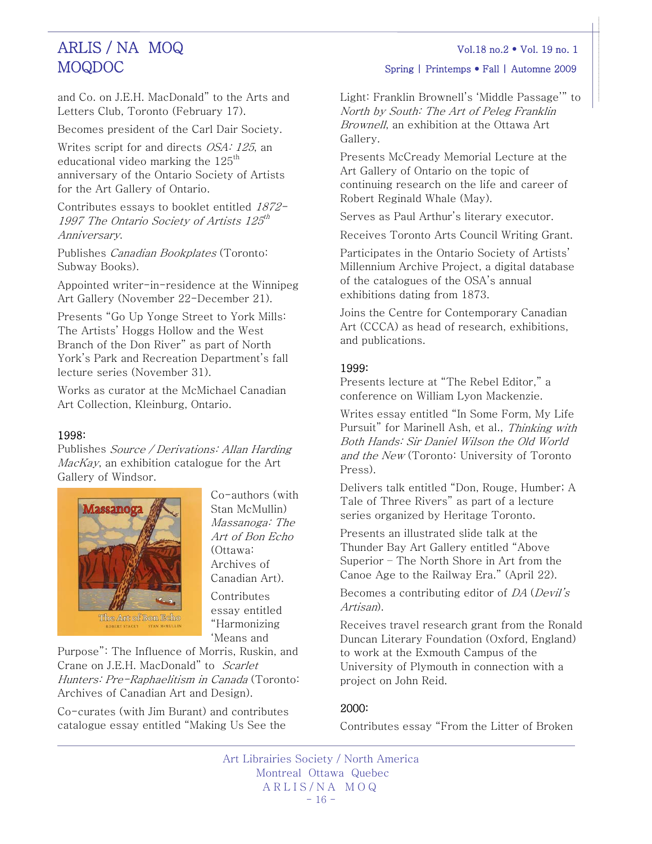and Co. on J.E.H. MacDonald" to the Arts and Letters Club, Toronto (February 17).

Becomes president of the Carl Dair Society.

Writes script for and directs OSA: 125, an educational video marking the  $125<sup>th</sup>$ anniversary of the Ontario Society of Artists for the Art Gallery of Ontario.

Contributes essays to booklet entitled 1872- 1997 The Ontario Society of Artists  $125^{th}$ Anniversary.

Publishes Canadian Bookplates (Toronto: Subway Books).

Appointed writer-in-residence at the Winnipeg Art Gallery (November 22-December 21).

Presents "Go Up Yonge Street to York Mills: The Artists' Hoggs Hollow and the West Branch of the Don River" as part of North York's Park and Recreation Department's fall lecture series (November 31).

Works as curator at the McMichael Canadian Art Collection, Kleinburg, Ontario.

## 1998:

Publishes Source / Derivations: Allan Harding MacKay, an exhibition catalogue for the Art Gallery of Windsor.



Co-authors (with Stan McMullin) Massanoga: The Art of Bon Echo (Ottawa: Archives of Canadian Art).

Contribu tes essay entitled "Harmonizin g 'Means and

Purpose": The Influence of Morris, Ruskin, and Crane on J.E.H. MacDonald" to Scarlet Hunters: Pre-Raphaelitism in Canada (Toronto: Archives of Canadian Art an d Design).

Co-curates (with Jim Burant) and contributes catalogue essay entitled "Making Us See the

Light: Franklin Brownell's 'Middle Passage'" to North by South: The Art of Peleg Franklin Brownell, an exhibition at the Ottawa Art Gallery.

Presents McCready Memorial Lecture at the Art Gallery of Ontario on the topic of continuing research on the life and career of Robert Reginald Whale (May).

Serves as Paul Arthur's literary executor.

Receives Toronto Arts Council Writing Grant.

Participates in the Ontario Society of Artists' Millennium Archive Project, a digital database of the catalogues of the OSA's annual exhibitions dating from 1873.

Joins the Centre for Contemporary Canadian Art (CCCA) as head of research, exhibitions, and publications.

# 1999:

Presents lecture at "The Rebel Editor," a conference on William Lyon Mackenzie.

Writes essay entitled "In Some Form, My Life Pursuit" for Marinell Ash, et al., Thinking with Both Hands: Sir Daniel Wilson the Old World and the New (Toronto: University of Toronto Press).

Delivers talk entitled "Don, Rouge, Humber; A Tale of Three Rivers" as part of a lecture series organized by Heritage Toronto.

Presents an illustrated slide talk at the Thunder Bay Art Gallery entitled "Above Superior – The North Shore in Art from the Canoe Age to the Railway Era." (April 22).

Becomes a contributing editor of DA (Devil's Artisan).

Receives travel research grant from the Ronald Duncan Literary Foundation (Oxford, England) to work at the Exmouth Campus of the University of Plymouth in connection with a project on John Reid.

# 2000:

Contributes essay "From the Litter of Broken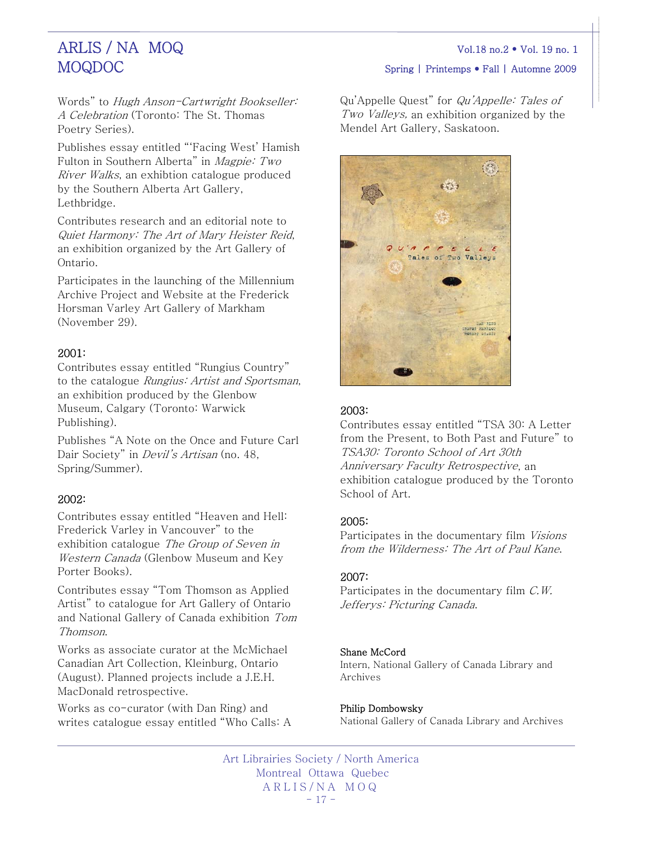# MOQDOC Spring | Printemps • Fall | Automne 2009

Words" to Hugh Anson-Cartwright Bookseller: A Celebration (Toronto: The St. Thomas Poetry Series).

Publishes essay entitled "'Facing West' Hamish Fulton in Southern Alberta" in Magpie: Two River Walks, an exhibtion catalogue produced by the Southern Alberta Art Gallery, Lethbridge.

Contributes research and an editorial note to Quiet Harmony: The Art of Mary Heister Reid, an exhibition organized by the Art Gallery of Ontario.

Participates in the launching of the Millennium Archive Project and Website at the Frederick Horsman Varley Art Gallery of Markham (November 29).

## 2001:

Contributes essay entitled "Rungius Country" to the catalogue Rungius: Artist and Sportsman, an exhibition produced by the Glenbow Museum, Calgary (Toronto: Warwick Publishing).

Publishes "A Note on the Once and Future Carl Dair Society" in *Devil's Artisan* (no. 48, Spring/Summer).

## 2002:

Contributes essay entitled "Heaven and Hell: Frederick Varley in Vancouver" to the exhibition catalogue The Group of Seven in Western Canada (Glenbow Museum and Key Porter Books).

Contributes essay "Tom Thomson as Applied Artist" to catalogue for Art Gallery of Ontario and National Gallery of Canada exhibition Tom Thomson.

Works as associate curator at the McMichael Canadian Art Collection, Kleinburg, Ontario (August). Planned projects include a J.E.H. MacDonald retrospective.

Works as co-curator (with Dan Ring) and writes catalogue essay entitled "Who Calls: A Qu'Appelle Quest" for Qu'Appelle: Tales of Two Valleys, an exhibition organized by the Mendel Art Gallery, Saskatoon.



# 2003:

Contributes essay entitled "TSA 30: A Letter from the Present, to Both Past and Future" to TSA30: Toronto School of Art 30th Anniversary Faculty Retrospective, an exhibition catalogue produced by the Toronto School of Art.

### 2005:

Participates in the documentary film Visions from the Wilderness: The Art of Paul Kane.

### 2007:

Participates in the documentary film C.W. Jefferys: Picturing Canada.

### Shane McCord

Intern, National Gallery of Canada Library and Archives

#### Philip Dombowsky

National Gallery of Canada Library and Archives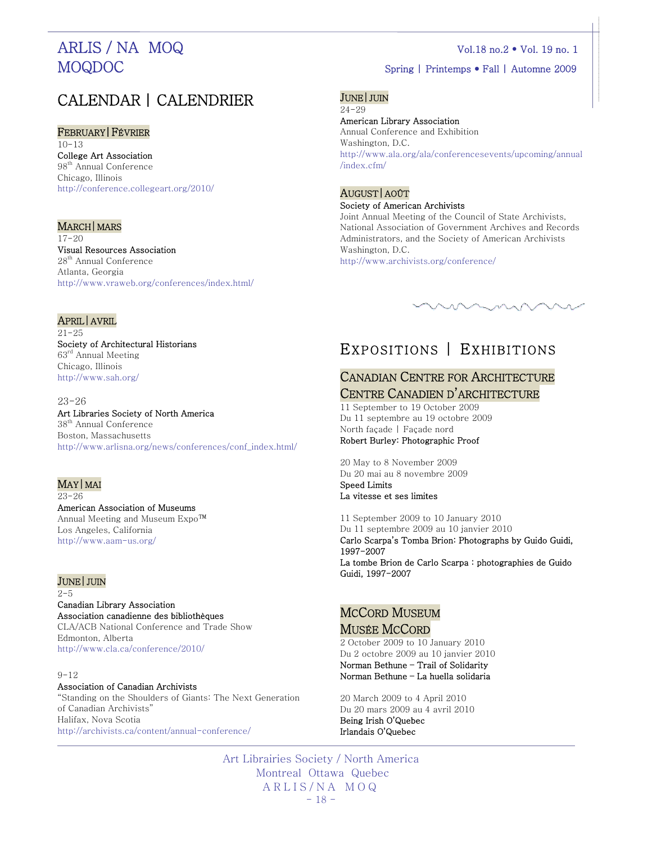# CALENDAR | CALENDRIER

#### FEBRUARY|FÉVRIER

 $10 - 13$ College Art Association 98<sup>th</sup> Annual Conference Chicago, Illinois <http://conference.collegeart.org/2010/>

#### MARCH | MARS

 $17 - 20$ Visual Resources Association 28th Annual Conference Atlanta, Georgia <http://www.vraweb.org/conferences/index.html/>

#### JUNE|JUIN

24-29 American Library Association Annual Conference and Exhibition Washington, D.C. [http://www.ala.org/ala/conferencesevents/upcoming/annual](http://www.ala.org/ala/conferencesevents/upcoming/annual/index.cfm/) [/index.cfm/](http://www.ala.org/ala/conferencesevents/upcoming/annual/index.cfm/) 

#### AUGUST|AOÛT Society of American Archivists

Joint Annual Meeting of the Council of State Archivists, National Association of Government Archives and Records Administrators, and the Society of American Archivists Washington, D.C. <http://www.archivists.org/conference/>



## APRIL|AVRIL

 $21 - 25$ Society of Architectural Historians 63rd Annual Meeting Chicago, Illinois <http://www.sah.org/>

#### 23-26

Art Libraries Society of North America 38<sup>th</sup> Annual Conference Boston, Massachusetts [http://www.arlisna.org/news/conferences/conf\\_index.html/](http://www.arlisna.org/news/conferences/conf_index.html/) 

#### MAY|MAI

23-26

American Association of Museums Annual Meeting and Museum Expo™ Los Angeles, California <http://www.aam-us.org/>

### JUNE|JUIN

 $2 - 5$ 

### Canadian Library Association Association canadienne des bibliothèques CLA/ACB National Conference and Trade Show

Edmonton, Alberta <http://www.cla.ca/conference/2010/>

#### $9 - 12$

#### Association of Canadian Archivists

"Standing on the Shoulders of Giants: The Next Generation of Canadian Archivists" Halifax, Nova Scotia <http://archivists.ca/content/annual-conference/>

# EXPOSITIONS | EXHIBITIONS

# CANADIAN CENTRE FOR ARCHITECTURE **CENTRE CANADIEN D'ARCHITECTURE**<br>11 September to 19 October 2009

Du 11 septembre au 19 octobre 2009 North façade | Façade nord Robert Burley: Photographic Proof

20 May to 8 November 2009 Du 20 mai au 8 novembre 2009 Speed Limits La vitesse et ses limites

11 September 2009 to 10 January 2010 Du 11 septembre 2009 au 10 janvier 2010 Carlo Scarpa's Tomba Brion: Photographs by Guido Guidi, 1997-2007

La tombe Brion de Carlo Scarpa : photographies de Guido Guidi, 1997-2007

# MCCORD MUSEUM

# **MUSÉE MCCORD**<br>2 October 2009 to 10 January 2010

Du 2 octobre 2009 au 10 janvier 2010 Norman Bethune – Trail of Solidarity Norman Bethune – La huella solidaria

20 March 2009 to 4 April 2010 Du 20 mars 2009 au 4 avril 2010 Being Irish O'Quebec Irlandais O'Quebec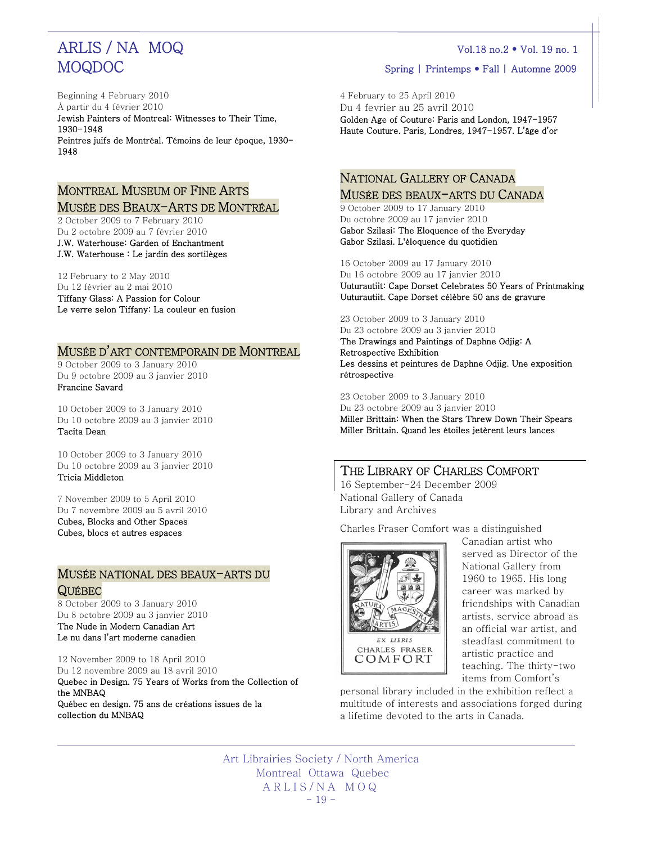Beginning 4 February 2010 À partir du 4 février 2010

Jewish Painters of Montreal: Witnesses to Their Time, 1930-1948 Peintres juifs de Montréal. Témoins de leur époque, 1930- 1948

# MONTREAL MUSEUM OF FINE ARTS

MUSÉE DES BEAUX-ARTS DE MONTRÉAL 2 October 2009 to 7 February 2010 Du 2 octobre 2009 au 7 février 2010 J.W. Waterhouse: Garden of Enchantment J.W. Waterhouse : Le jardin des sortilèges

12 February to 2 May 2010

Du 12 février au 2 mai 2010 Tiffany Glass: A Passion for Colour

Le verre selon Tiffany: La couleur en fusion

# MUSÉE D'ART CONTEMPORAIN DE MONTREAL 9 October 2009 to 3 January 2010

Du 9 octobre 2009 au 3 janvier 2010 Francine Savard

10 October 2009 to 3 January 2010 Du 10 octobre 2009 au 3 janvier 2010 Tacita Dean

10 October 2009 to 3 January 2010 Du 10 octobre 2009 au 3 janvier 2010 Tricia Middleton

7 November 2009 to 5 April 2010 Du 7 novembre 2009 au 5 avril 2010 Cubes, Blocks and Other Spaces Cubes, blocs et autres espaces

# MUSÉE NATIONAL DES BEAUX-ARTS DU QUÉBEC<br>8 October 2009 to 3 January 2010

Du 8 octobre 2009 au 3 janvier 2010

The Nude in Modern Canadian Art Le nu dans l'art moderne canadien

12 November 2009 to 18 April 2010 Du 12 novembre 2009 au 18 avril 2010

Quebec in Design. 75 Years of Works from the Collection of the MNBAQ Québec en design. 75 ans de créations issues de la collection du MNBAQ

4 February to 25 April 2010 Du 4 fevrier au 25 avril 2010 Golden Age of Couture: Paris and London, 1947-1957 Haute Couture. Paris, Londres, 1947-1957. L'âge d'or

# NATIONAL GALLERY OF CANADA MUSÉE DES BEAUX-ARTS DU CANADA<br>9 October 2009 to 17 January 2010

Du octobre 2009 au 17 janvier 2010 Gabor Szilasi: The Eloquence of the Everyday Gabor Szilasi. L'éloquence du quotidien

16 October 2009 au 17 January 2010 Du 16 octobre 2009 au 17 janvier 2010 Uuturautiit: Cape Dorset Celebrates 50 Years of Printmaking Uuturautiit. Cape Dorset célèbre 50 ans de gravure

23 October 2009 to 3 January 2010

Du 23 octobre 2009 au 3 janvier 2010 The Drawings and Paintings of Daphne Odjig: A Retrospective Exhibition Les dessins et peintures de Daphne Odjig. Une exposition rétrospective

23 October 2009 to 3 January 2010

Du 23 octobre 2009 au 3 janvier 2010 Miller Brittain: When the Stars Threw Down Their Spears Miller Brittain. Quand les étoiles jetèrent leurs lances

# THE LIBRARY OF CHARLES COMFORT

16 September-24 December 2009 National Gallery of Canada Library and Archives

Charles Fraser Comfort was a distinguished



Canadian artist who served as Director of the National Gallery from 1960 to 1965. His long career was marked by friendships with Canadian artists, service abroad as an official war artist, and steadfast commitment to artistic practice and teaching. The thirty-two items from Comfort's

personal library included in the exhibition reflect a multitude of interests and associations forged during a lifetime devoted to the arts in Canada.